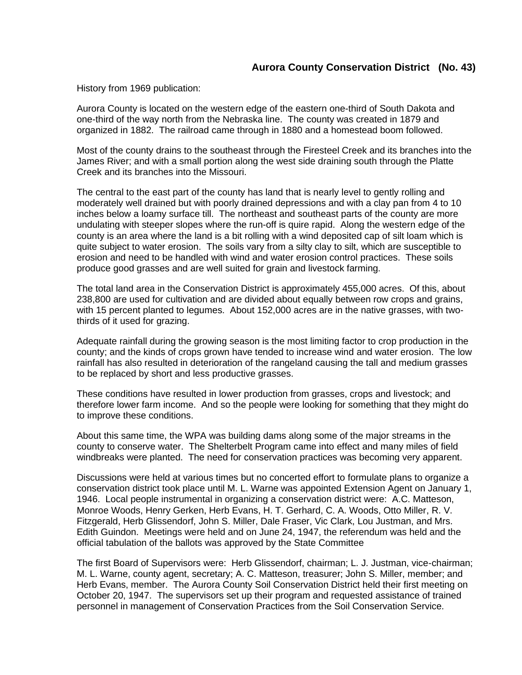## **Aurora County Conservation District (No. 43)**

History from 1969 publication:

Aurora County is located on the western edge of the eastern one-third of South Dakota and one-third of the way north from the Nebraska line. The county was created in 1879 and organized in 1882. The railroad came through in 1880 and a homestead boom followed.

Most of the county drains to the southeast through the Firesteel Creek and its branches into the James River; and with a small portion along the west side draining south through the Platte Creek and its branches into the Missouri.

The central to the east part of the county has land that is nearly level to gently rolling and moderately well drained but with poorly drained depressions and with a clay pan from 4 to 10 inches below a loamy surface till. The northeast and southeast parts of the county are more undulating with steeper slopes where the run-off is quire rapid. Along the western edge of the county is an area where the land is a bit rolling with a wind deposited cap of silt loam which is quite subject to water erosion. The soils vary from a silty clay to silt, which are susceptible to erosion and need to be handled with wind and water erosion control practices. These soils produce good grasses and are well suited for grain and livestock farming.

The total land area in the Conservation District is approximately 455,000 acres. Of this, about 238,800 are used for cultivation and are divided about equally between row crops and grains, with 15 percent planted to legumes. About 152,000 acres are in the native grasses, with twothirds of it used for grazing.

Adequate rainfall during the growing season is the most limiting factor to crop production in the county; and the kinds of crops grown have tended to increase wind and water erosion. The low rainfall has also resulted in deterioration of the rangeland causing the tall and medium grasses to be replaced by short and less productive grasses.

These conditions have resulted in lower production from grasses, crops and livestock; and therefore lower farm income. And so the people were looking for something that they might do to improve these conditions.

About this same time, the WPA was building dams along some of the major streams in the county to conserve water. The Shelterbelt Program came into effect and many miles of field windbreaks were planted. The need for conservation practices was becoming very apparent.

Discussions were held at various times but no concerted effort to formulate plans to organize a conservation district took place until M. L. Warne was appointed Extension Agent on January 1, 1946. Local people instrumental in organizing a conservation district were: A.C. Matteson, Monroe Woods, Henry Gerken, Herb Evans, H. T. Gerhard, C. A. Woods, Otto Miller, R. V. Fitzgerald, Herb Glissendorf, John S. Miller, Dale Fraser, Vic Clark, Lou Justman, and Mrs. Edith Guindon. Meetings were held and on June 24, 1947, the referendum was held and the official tabulation of the ballots was approved by the State Committee

The first Board of Supervisors were: Herb Glissendorf, chairman; L. J. Justman, vice-chairman; M. L. Warne, county agent, secretary; A. C. Matteson, treasurer; John S. Miller, member; and Herb Evans, member. The Aurora County Soil Conservation District held their first meeting on October 20, 1947. The supervisors set up their program and requested assistance of trained personnel in management of Conservation Practices from the Soil Conservation Service.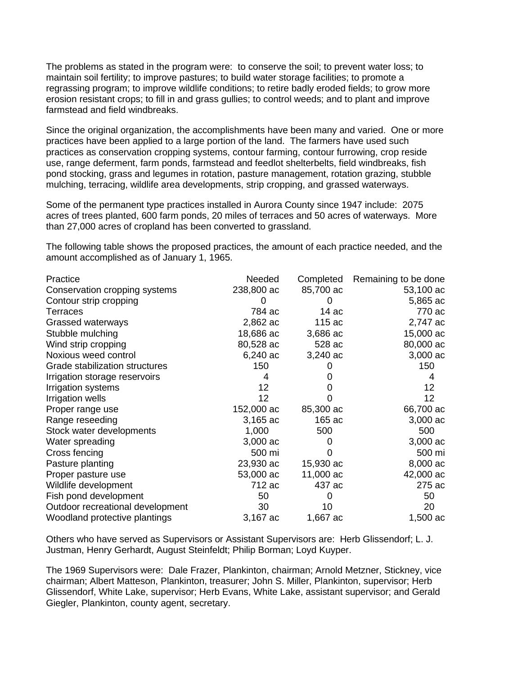The problems as stated in the program were: to conserve the soil; to prevent water loss; to maintain soil fertility; to improve pastures; to build water storage facilities; to promote a regrassing program; to improve wildlife conditions; to retire badly eroded fields; to grow more erosion resistant crops; to fill in and grass gullies; to control weeds; and to plant and improve farmstead and field windbreaks.

Since the original organization, the accomplishments have been many and varied. One or more practices have been applied to a large portion of the land. The farmers have used such practices as conservation cropping systems, contour farming, contour furrowing, crop reside use, range deferment, farm ponds, farmstead and feedlot shelterbelts, field windbreaks, fish pond stocking, grass and legumes in rotation, pasture management, rotation grazing, stubble mulching, terracing, wildlife area developments, strip cropping, and grassed waterways.

Some of the permanent type practices installed in Aurora County since 1947 include: 2075 acres of trees planted, 600 farm ponds, 20 miles of terraces and 50 acres of waterways. More than 27,000 acres of cropland has been converted to grassland.

The following table shows the proposed practices, the amount of each practice needed, and the amount accomplished as of January 1, 1965.

| Practice                         | Needed          | Completed | Remaining to be done |
|----------------------------------|-----------------|-----------|----------------------|
| Conservation cropping systems    | 238,800 ac      | 85,700 ac | 53,100 ac            |
| Contour strip cropping           |                 |           | 5,865 ac             |
| Terraces                         | 784 ac          | 14ac      | 770 ac               |
| Grassed waterways                | 2,862 ac        | 115 ac    | 2,747 ac             |
| Stubble mulching                 | 18,686 ac       | 3,686 ac  | 15,000 ac            |
| Wind strip cropping              | 80,528 ac       | 528 ac    | 80,000 ac            |
| Noxious weed control             | 6,240 ac        | 3,240 ac  | 3,000 ac             |
| Grade stabilization structures   | 150             | O         | 150                  |
| Irrigation storage reservoirs    | 4               | O         | 4                    |
| Irrigation systems               | 12 <sup>2</sup> | $^{(1)}$  | 12                   |
| Irrigation wells                 | 12              |           | 12                   |
| Proper range use                 | 152,000 ac      | 85,300 ac | 66,700 ac            |
| Range reseeding                  | 3,165 ac        | 165 ac    | 3,000 ac             |
| Stock water developments         | 1,000           | 500       | 500                  |
| Water spreading                  | 3,000 ac        | 0         | 3,000 ac             |
| Cross fencing                    | 500 mi          | 0         | 500 mi               |
| Pasture planting                 | 23,930 ac       | 15,930 ac | 8,000 ac             |
| Proper pasture use               | 53,000 ac       | 11,000 ac | 42,000 ac            |
| Wildlife development             | 712 ac          | 437 ac    | 275 ac               |
| Fish pond development            | 50              | 0         | 50                   |
| Outdoor recreational development | 30              | 10        | 20                   |
| Woodland protective plantings    | 3,167 ac        | 1,667 ac  | 1,500 ac             |
|                                  |                 |           |                      |

Others who have served as Supervisors or Assistant Supervisors are: Herb Glissendorf; L. J. Justman, Henry Gerhardt, August Steinfeldt; Philip Borman; Loyd Kuyper.

The 1969 Supervisors were: Dale Frazer, Plankinton, chairman; Arnold Metzner, Stickney, vice chairman; Albert Matteson, Plankinton, treasurer; John S. Miller, Plankinton, supervisor; Herb Glissendorf, White Lake, supervisor; Herb Evans, White Lake, assistant supervisor; and Gerald Giegler, Plankinton, county agent, secretary.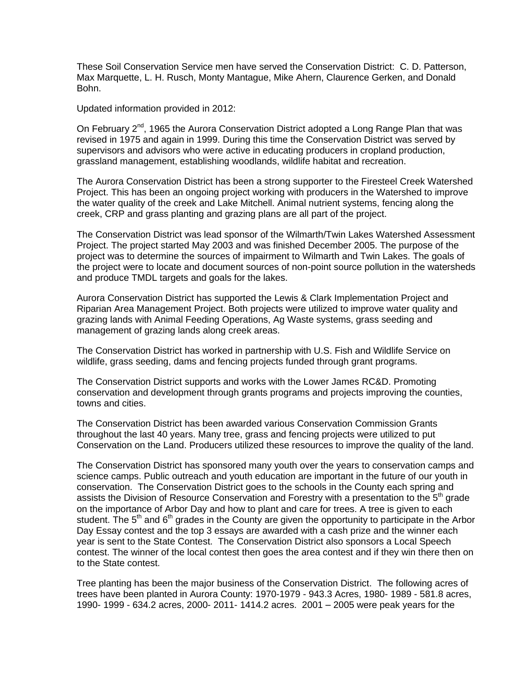These Soil Conservation Service men have served the Conservation District: C. D. Patterson, Max Marquette, L. H. Rusch, Monty Mantague, Mike Ahern, Claurence Gerken, and Donald Bohn.

Updated information provided in 2012:

On February 2<sup>nd</sup>, 1965 the Aurora Conservation District adopted a Long Range Plan that was revised in 1975 and again in 1999. During this time the Conservation District was served by supervisors and advisors who were active in educating producers in cropland production, grassland management, establishing woodlands, wildlife habitat and recreation.

The Aurora Conservation District has been a strong supporter to the Firesteel Creek Watershed Project. This has been an ongoing project working with producers in the Watershed to improve the water quality of the creek and Lake Mitchell. Animal nutrient systems, fencing along the creek, CRP and grass planting and grazing plans are all part of the project.

The Conservation District was lead sponsor of the Wilmarth/Twin Lakes Watershed Assessment Project. The project started May 2003 and was finished December 2005. The purpose of the project was to determine the sources of impairment to Wilmarth and Twin Lakes. The goals of the project were to locate and document sources of non-point source pollution in the watersheds and produce TMDL targets and goals for the lakes.

Aurora Conservation District has supported the Lewis & Clark Implementation Project and Riparian Area Management Project. Both projects were utilized to improve water quality and grazing lands with Animal Feeding Operations, Ag Waste systems, grass seeding and management of grazing lands along creek areas.

The Conservation District has worked in partnership with U.S. Fish and Wildlife Service on wildlife, grass seeding, dams and fencing projects funded through grant programs.

The Conservation District supports and works with the Lower James RC&D. Promoting conservation and development through grants programs and projects improving the counties, towns and cities.

The Conservation District has been awarded various Conservation Commission Grants throughout the last 40 years. Many tree, grass and fencing projects were utilized to put Conservation on the Land. Producers utilized these resources to improve the quality of the land.

The Conservation District has sponsored many youth over the years to conservation camps and science camps. Public outreach and youth education are important in the future of our youth in conservation. The Conservation District goes to the schools in the County each spring and assists the Division of Resource Conservation and Forestry with a presentation to the  $5<sup>th</sup>$  grade on the importance of Arbor Day and how to plant and care for trees. A tree is given to each student. The 5<sup>th</sup> and 6<sup>th</sup> grades in the County are given the opportunity to participate in the Arbor Day Essay contest and the top 3 essays are awarded with a cash prize and the winner each year is sent to the State Contest. The Conservation District also sponsors a Local Speech contest. The winner of the local contest then goes the area contest and if they win there then on to the State contest.

Tree planting has been the major business of the Conservation District. The following acres of trees have been planted in Aurora County: 1970-1979 - 943.3 Acres, 1980- 1989 - 581.8 acres, 1990- 1999 - 634.2 acres, 2000- 2011- 1414.2 acres. 2001 – 2005 were peak years for the